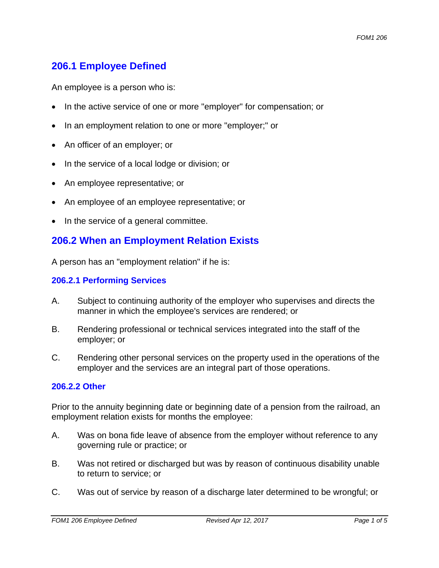# **206.1 Employee Defined**

An employee is a person who is:

- In the active service of one or more "employer" for compensation; or
- In an employment relation to one or more "employer;" or
- An officer of an employer; or
- In the service of a local lodge or division; or
- An employee representative; or
- An employee of an employee representative; or
- In the service of a general committee.

#### **206.2 When an Employment Relation Exists**

A person has an "employment relation" if he is:

#### **206.2.1 Performing Services**

- A. Subject to continuing authority of the employer who supervises and directs the manner in which the employee's services are rendered; or
- B. Rendering professional or technical services integrated into the staff of the employer; or
- C. Rendering other personal services on the property used in the operations of the employer and the services are an integral part of those operations.

#### **206.2.2 Other**

Prior to the annuity beginning date or beginning date of a pension from the railroad, an employment relation exists for months the employee:

- A. Was on bona fide leave of absence from the employer without reference to any governing rule or practice; or
- B. Was not retired or discharged but was by reason of continuous disability unable to return to service; or
- C. Was out of service by reason of a discharge later determined to be wrongful; or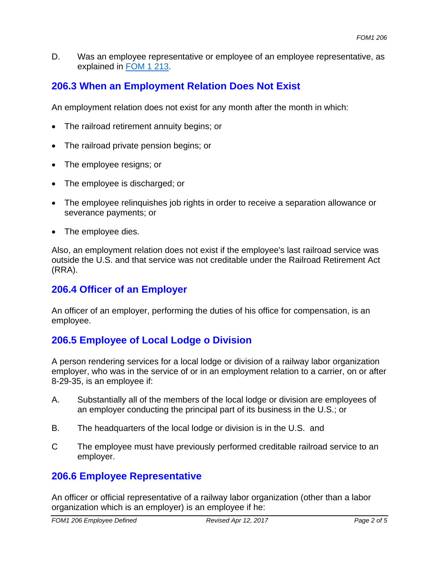D. Was an employee representative or employee of an employee representative, as explained in FOM 1 213.

# **206.3 When an Employment Relation Does Not Exist**

An employment relation does not exist for any month after the month in which:

- The railroad retirement annuity begins; or
- The railroad private pension begins; or
- The employee resigns; or
- The employee is discharged; or
- The employee relinquishes job rights in order to receive a separation allowance or severance payments; or
- The employee dies.

Also, an employment relation does not exist if the employee's last railroad service was outside the U.S. and that service was not creditable under the Railroad Retirement Act (RRA).

### **206.4 Officer of an Employer**

An officer of an employer, performing the duties of his office for compensation, is an employee.

# **206.5 Employee of Local Lodge o Division**

A person rendering services for a local lodge or division of a railway labor organization employer, who was in the service of or in an employment relation to a carrier, on or after 8-29-35, is an employee if:

- A. Substantially all of the members of the local lodge or division are employees of an employer conducting the principal part of its business in the U.S.; or
- B. The headquarters of the local lodge or division is in the U.S. and
- The employee must have previously performed creditable railroad service to an employer.  $\mathcal{C}$

## **206.6 Employee Representative**

An officer or official representative of a railway labor organization (other than a labor organization which is an employer) is an employee if he: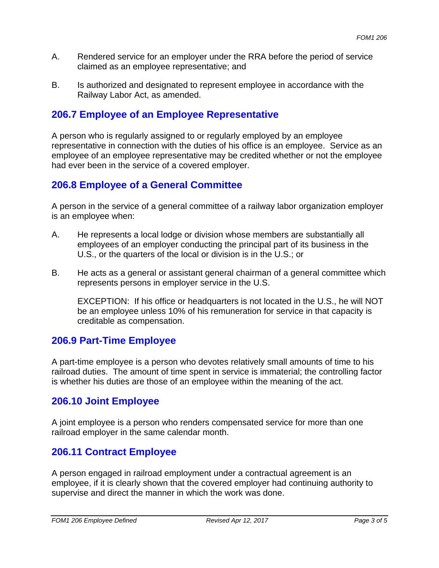- A. Rendered service for an employer under the RRA before the period of service claimed as an employee representative; and
- B. Is authorized and designated to represent employee in accordance with the Railway Labor Act, as amended.

### **206.7 Employee of an Employee Representative**

A person who is regularly assigned to or regularly employed by an employee representative in connection with the duties of his office is an employee. Service as an employee of an employee representative may be credited whether or not the employee had ever been in the service of a covered employer.

#### **206.8 Employee of a General Committee**

A person in the service of a general committee of a railway labor organization employer is an employee when:

- A. He represents a local lodge or division whose members are substantially all employees of an employer conducting the principal part of its business in the U.S., or the quarters of the local or division is in the U.S.; or
- B. He acts as a general or assistant general chairman of a general committee which represents persons in employer service in the U.S.

EXCEPTION: If his office or headquarters is not located in the U.S., he will NOT be an employee unless 10% of his remuneration for service in that capacity is creditable as compensation.

#### **206.9 Part-Time Employee**

A part-time employee is a person who devotes relatively small amounts of time to his railroad duties. The amount of time spent in service is immaterial; the controlling factor is whether his duties are those of an employee within the meaning of the act.

## **206.10 Joint Employee**

A joint employee is a person who renders compensated service for more than one railroad employer in the same calendar month.

#### **206.11 Contract Employee**

A person engaged in railroad employment under a contractual agreement is an employee, if it is clearly shown that the covered employer had continuing authority to supervise and direct the manner in which the work was done.